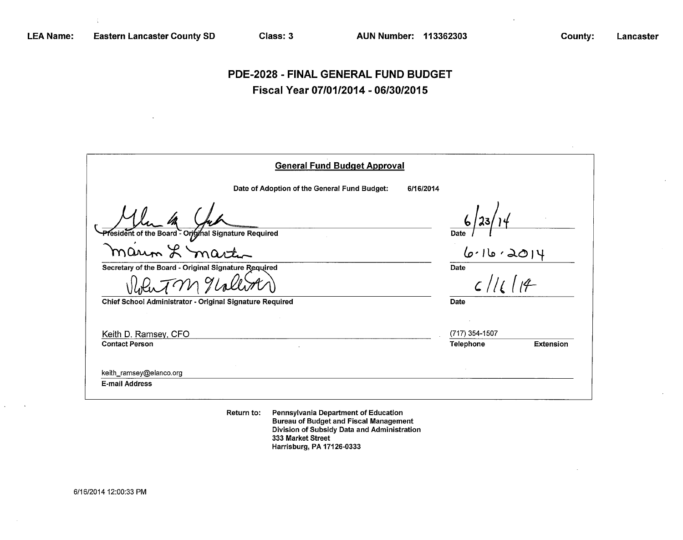# **PDE-2028 - FINAL GENERAL FUND BUDGET Fiscal Year 07/01/2014-06/30/2015**

| <b>General Fund Budget Approval</b>                      |                        |
|----------------------------------------------------------|------------------------|
| Date of Adoption of the General Fund Budget:             | 6/16/2014              |
|                                                          | Date                   |
| President of the Board - Original Signature Required     | 6.16.2                 |
| Secretary of the Board - Original Signature Required     | Date                   |
|                                                          | 1114<br>$\zeta$ //     |
| Chief School Administrator - Original Signature Required | Date                   |
|                                                          |                        |
| Keith D. Ramsey, CFO                                     | (717) 354-1507         |
| <b>Contact Person</b>                                    | Telephone<br>Extension |
|                                                          |                        |
| keith_ramsey@elanco.org                                  |                        |
| <b>E-mail Address</b>                                    |                        |
|                                                          |                        |

Return to: Pennsylvania Department of Education Bureau of Budget and Fiscal Management Division of Subsidy Data and Administration 333 Market Street Harrisburg, PA 17126-0333

6/16/2014 12:00:33 PM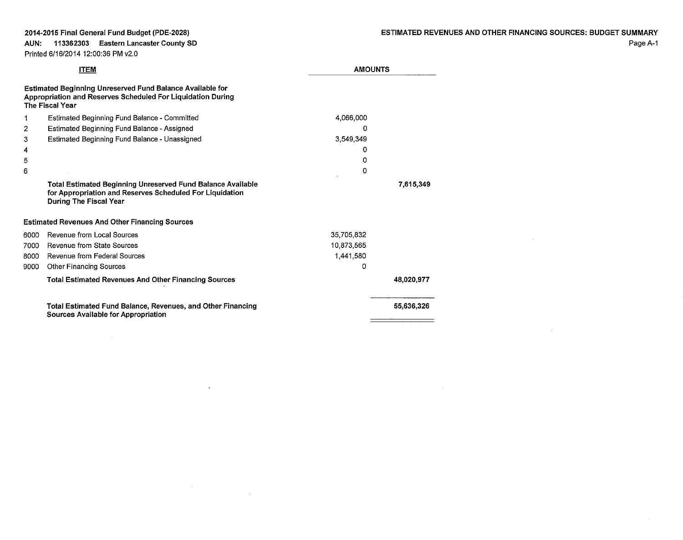### 2014-2015 Final General Fund Budget (PDE-2028) AUN: 113362303 Eastern Lancaster County SD

### Printed 6/16/2014 12:00:36 PM v2.0

 $\sim 100$  km s  $^{-1}$ 

|      | <b>ITEM</b>                                                                                                                                                     | <b>AMOUNTS</b> |            |  |
|------|-----------------------------------------------------------------------------------------------------------------------------------------------------------------|----------------|------------|--|
|      | <b>Estimated Beginning Unreserved Fund Balance Available for</b><br>Appropriation and Reserves Scheduled For Liquidation During<br><b>The Fiscal Year</b>       |                |            |  |
| 1    | Estimated Beginning Fund Balance - Committed                                                                                                                    | 4,066,000      |            |  |
| 2    | Estimated Beginning Fund Balance - Assigned                                                                                                                     | 0              |            |  |
| 3    | Estimated Beginning Fund Balance - Unassigned                                                                                                                   | 3,549,349      |            |  |
| 4    |                                                                                                                                                                 | 0              |            |  |
| 5    |                                                                                                                                                                 | Ω              |            |  |
| 6    |                                                                                                                                                                 | 0              |            |  |
|      | <b>Total Estimated Beginning Unreserved Fund Balance Available</b><br>for Appropriation and Reserves Scheduled For Liquidation<br><b>During The Fiscal Year</b> |                | 7,615,349  |  |
|      | <b>Estimated Revenues And Other Financing Sources</b>                                                                                                           |                |            |  |
| 6000 | Revenue from Local Sources                                                                                                                                      | 35,705,832     |            |  |
| 7000 | Revenue from State Sources                                                                                                                                      | 10.873,565     |            |  |
| 8000 | <b>Revenue from Federal Sources</b>                                                                                                                             | 1,441,580      |            |  |
| 9000 | <b>Other Financing Sources</b>                                                                                                                                  | 0              |            |  |
|      | <b>Total Estimated Revenues And Other Financing Sources</b>                                                                                                     |                | 48,020,977 |  |
|      | Total Estimated Fund Balance, Revenues, and Other Financing<br><b>Sources Available for Appropriation</b>                                                       |                | 55,636,326 |  |
|      |                                                                                                                                                                 |                |            |  |

 $\sim$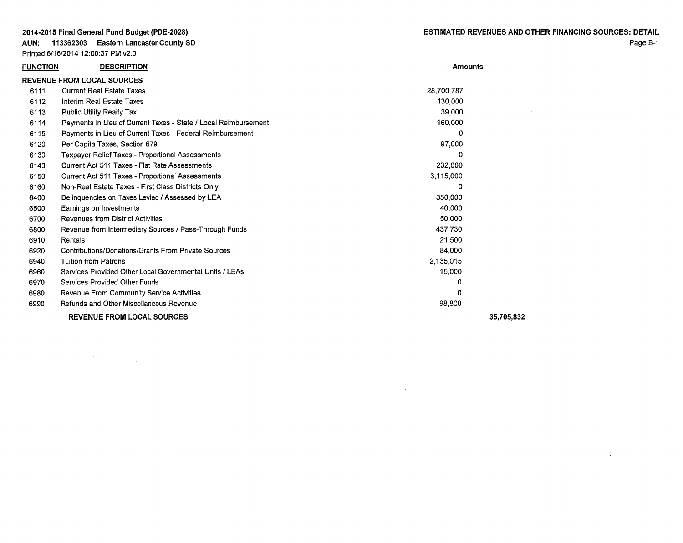Printed 6/16/2014 12:00:37 PM v2.0

AUN: 113362303 Eastern Lancaster County SD

 $\mathcal{L}(\mathcal{L}^{\mathcal{L}})$  and  $\mathcal{L}(\mathcal{L}^{\mathcal{L}})$  and  $\mathcal{L}(\mathcal{L}^{\mathcal{L}})$  and  $\mathcal{L}(\mathcal{L}^{\mathcal{L}})$ 

 $\label{eq:2.1} \frac{1}{\sqrt{2}}\sum_{i=1}^n\frac{1}{\sqrt{2}}\sum_{i=1}^n\frac{1}{\sqrt{2}}\sum_{i=1}^n\frac{1}{\sqrt{2}}\sum_{i=1}^n\frac{1}{\sqrt{2}}\sum_{i=1}^n\frac{1}{\sqrt{2}}\sum_{i=1}^n\frac{1}{\sqrt{2}}\sum_{i=1}^n\frac{1}{\sqrt{2}}\sum_{i=1}^n\frac{1}{\sqrt{2}}\sum_{i=1}^n\frac{1}{\sqrt{2}}\sum_{i=1}^n\frac{1}{\sqrt{2}}\sum_{i=1}^n\frac$ 

 $\sim$ 

| <b>FUNCTION</b> | <b>DESCRIPTION</b>                                              | <b>Amounts</b> |            |
|-----------------|-----------------------------------------------------------------|----------------|------------|
|                 | <b>REVENUE FROM LOCAL SOURCES</b>                               |                |            |
| 6111            | <b>Current Real Estate Taxes</b>                                | 28.700.787     |            |
| 6112            | Interim Real Estate Taxes                                       | 130,000        |            |
| 6113            | <b>Public Utility Realty Tax</b>                                | 39,000         |            |
| 6114            | Payments in Lieu of Current Taxes - State / Local Reimbursement | 160,000        |            |
| 6115            | Payments in Lieu of Current Taxes - Federal Reimbursement       | 0              |            |
| 6120            | Per Capita Taxes, Section 679                                   | 97,000         |            |
| 6130            | <b>Taxpayer Relief Taxes - Proportional Assessments</b>         |                |            |
| 6140            | Current Act 511 Taxes - Flat Rate Assessments                   | 232,000        |            |
| 6150            | <b>Current Act 511 Taxes - Proportional Assessments</b>         | 3,115,000      |            |
| 6160            | Non-Real Estate Taxes - First Class Districts Only              | 0              |            |
| 6400            | Delinguencies on Taxes Levied / Assessed by LEA                 | 350,000        |            |
| 6500            | Earnings on Investments                                         | 40,000         |            |
| 6700            | <b>Revenues from District Activities</b>                        | 50,000         |            |
| 6800            | Revenue from Intermediary Sources / Pass-Through Funds          | 437,730        |            |
| 6910            | Rentals                                                         | 21,500         |            |
| 6920            | Contributions/Donations/Grants From Private Sources             | 84,000         |            |
| 6940            | <b>Tuition from Patrons</b>                                     | 2,135,015      |            |
| 6960            | Services Provided Other Local Governmental Units / LEAs         | 15,000         |            |
| 6970            | Services Provided Other Funds                                   | 0              |            |
| 6980            | Revenue From Community Service Activities                       |                |            |
| 6990            | Refunds and Other Miscellaneous Revenue                         | 98,800         |            |
|                 | <b>REVENUE FROM LOCAL SOURCES</b>                               |                | 35,705,832 |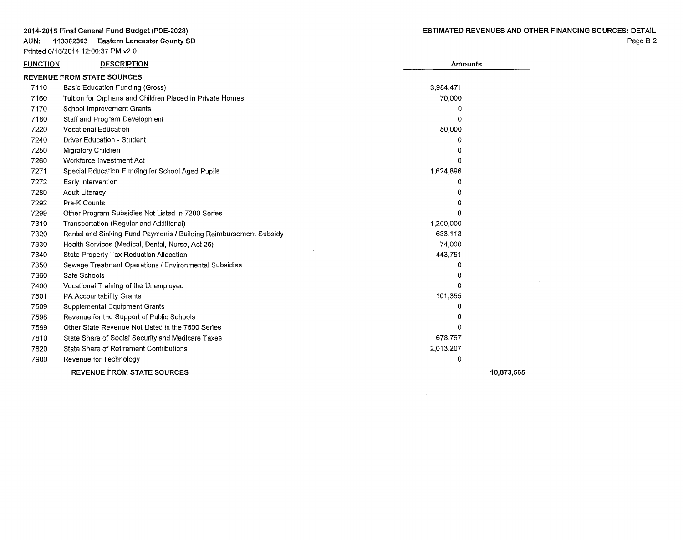**AUN: 113362303 Eastern Lancaster County SO**  Printed 6/16/201412:00:37 PM v2.0

 $\sim 10^{-1}$ 

 $\sim 10$ 

 $\frac{1}{2}$  ,  $\frac{1}{2}$ 

| FUNCTION | <b>DESCRIPTION</b>                                                | Amounts      |            |
|----------|-------------------------------------------------------------------|--------------|------------|
|          | <b>REVENUE FROM STATE SOURCES</b>                                 |              |            |
| 7110     | Basic Education Funding (Gross)                                   | 3,984,471    |            |
| 7160     | Tuition for Orphans and Children Placed in Private Homes          | 70,000       |            |
| 7170     | School Improvement Grants                                         | 0            |            |
| 7180     | Staff and Program Development                                     | 0            |            |
| 7220     | Vocational Education                                              | 50,000       |            |
| 7240     | Driver Education - Student                                        | 0            |            |
| 7250     | Migratory Children                                                | 0            |            |
| 7260     | Workforce Investment Act                                          | 0            |            |
| 7271     | Special Education Funding for School Aged Pupils                  | 1,624,896    |            |
| 7272     | Early Intervention                                                | 0            |            |
| 7280     | <b>Adult Literacy</b>                                             | 0            |            |
| 7292     | Pre-K Counts                                                      | 0            |            |
| 7299     | Other Program Subsidies Not Listed in 7200 Series                 | O            |            |
| 7310     | Transportation (Regular and Additional)                           | 1,200,000    |            |
| 7320     | Rental and Sinking Fund Payments / Building Reimbursement Subsidy | 633,118      |            |
| 7330     | Health Services (Medical, Dental, Nurse, Act 25)                  | 74,000       |            |
| 7340     | State Property Tax Reduction Allocation                           | 443,751      |            |
| 7350     | Sewage Treatment Operations / Environmental Subsidies             | <sup>0</sup> |            |
| 7360     | Safe Schools                                                      | 0            |            |
| 7400     | Vocational Training of the Unemployed                             | $\Omega$     |            |
| 7501     | PA Accountability Grants                                          | 101,355      |            |
| 7509     | Supplemental Equipment Grants                                     | 0            |            |
| 7598     | Revenue for the Support of Public Schools                         | O            |            |
| 7599     | Other State Revenue Not Listed in the 7500 Series                 | n            |            |
| 7810     | State Share of Social Security and Medicare Taxes                 | 678,767      |            |
| 7820     | State Share of Retirement Contributions                           | 2,013,207    |            |
| 7900     | Revenue for Technology                                            | 0            |            |
|          | <b>REVENUE FROM STATE SOURCES</b>                                 |              | 10.873.565 |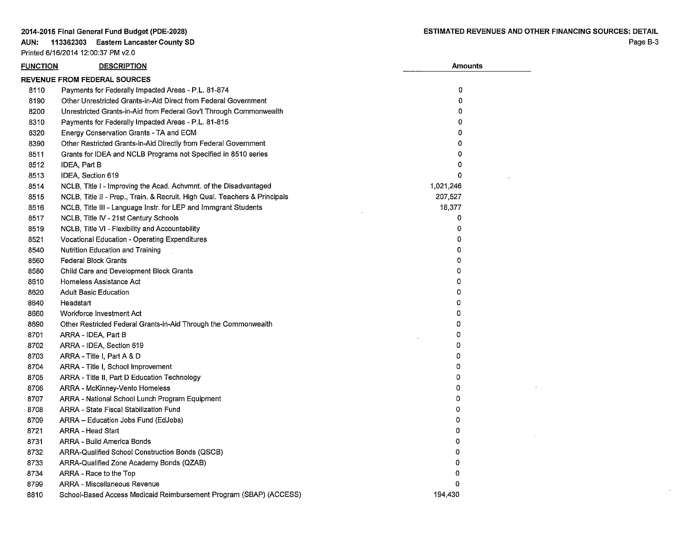AUN: 113362303 Eastern Lancaster County SD Printed 6/16/2014 12:00:37 PM v2.0

| <b>FUNCTION</b> | <b>DESCRIPTION</b>                                                         | <b>Amounts</b> |  |
|-----------------|----------------------------------------------------------------------------|----------------|--|
|                 | <b>REVENUE FROM FEDERAL SOURCES</b>                                        |                |  |
| 8110            | Payments for Federally Impacted Areas - P.L. 81-874                        | 0              |  |
| 8190            | Other Unrestricted Grants-in-Aid Direct from Federal Government            | 0              |  |
| 8200            | Unrestricted Grants-in-Aid from Federal Gov't Through Commonwealth         | 0              |  |
| 8310            | Payments for Federally Impacted Areas - P.L. 81-815                        | 0              |  |
| 8320            | Energy Conservation Grants - TA and ECM                                    | 0              |  |
| 8390            | Other Restricted Grants-in-Aid Directly from Federal Government            | $\Omega$       |  |
| 8511            | Grants for IDEA and NCLB Programs not Specified in 8510 series             | 0              |  |
| 8512            | IDEA, Part B                                                               | 0              |  |
| 8513            | IDEA, Section 619                                                          | 0              |  |
| 8514            | NCLB, Title I - Improving the Acad. Achymnt. of the Disadvantaged          | 1,021,246      |  |
| 8515            | NCLB, Title II - Prep., Train. & Recruit. High Qual. Teachers & Principals | 207,527        |  |
| 8516            | NCLB, Title III - Language Instr. for LEP and Immgrant Students            | 18,377         |  |
| 8517            | NCLB, Title IV - 21st Century Schools                                      | 0              |  |
| 8519            | NCLB, Title VI - Flexibility and Accountability                            | 0              |  |
| 8521            | Vocational Education - Operating Expenditures                              | 0              |  |
| 8540            | <b>Nutrition Education and Training</b>                                    | 0              |  |
| 8560            | <b>Federal Block Grants</b>                                                | 0              |  |
| 8580            | Child Care and Development Block Grants                                    | 0              |  |
| 8610            | Homeless Assistance Act                                                    | 0              |  |
| 8620            | <b>Adult Basic Education</b>                                               | 0              |  |
| 8640            | Headstart                                                                  | 0              |  |
| 8660            | Workforce Investment Act                                                   | 0              |  |
| 8690            | Other Restricted Federal Grants-in-Aid Through the Commonwealth            | 0              |  |
| 8701            | ARRA - IDEA, Part B                                                        | 0              |  |
| 8702            | ARRA - IDEA, Section 619                                                   | 0              |  |
| 8703            | ARRA - Title I, Part A & D                                                 | 0              |  |
| 8704            | ARRA - Title I, School Improvement                                         | 0              |  |
| 8705            | ARRA - Title II, Part D Education Technology                               | 0              |  |
| 8706            | ARRA - McKinney-Vento Homeless                                             | 0              |  |
| 8707            | ARRA - National School Lunch Program Equipment                             | 0              |  |
| 8708            | ARRA - State Fiscal Stabilization Fund                                     | 0              |  |
| 8709            | ARRA - Education Jobs Fund (EdJobs)                                        | 0              |  |
| 8721            | ARRA - Head Start                                                          | 0              |  |
| 8731            | ARRA - Build America Bonds                                                 | 0              |  |
| 8732            | ARRA-Qualified School Construction Bonds (QSCB)                            | 0              |  |
| 8733            | ARRA-Qualified Zone Academy Bonds (QZAB)                                   | 0              |  |
| 8734            | ARRA - Race to the Top                                                     | 0              |  |
| 8799            | ARRA - Miscellaneous Revenue                                               | 0              |  |
| 8810            | School-Based Access Medicaid Reimbursement Program (SBAP) (ACCESS)         | 194.430        |  |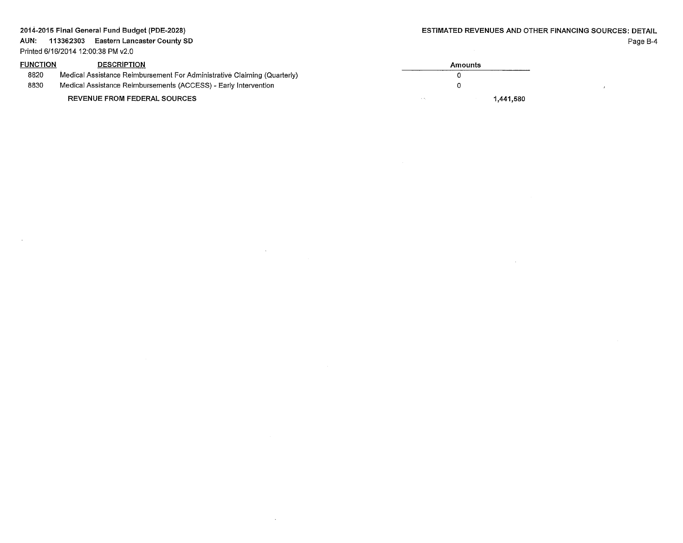$\sim$ 

| <b>FUNCTION</b> | <b>DESCRIPTION</b>                                                       | Amounts |           |
|-----------------|--------------------------------------------------------------------------|---------|-----------|
| 8820            | Medical Assistance Reimbursement For Administrative Claiming (Quarterly) |         |           |
| 8830            | Medical Assistance Reimbursements (ACCESS) - Early Intervention          |         |           |
|                 | <b>REVENUE FROM FEDERAL SOURCES</b>                                      |         | 1,441,580 |

 $\overline{\phantom{a}}$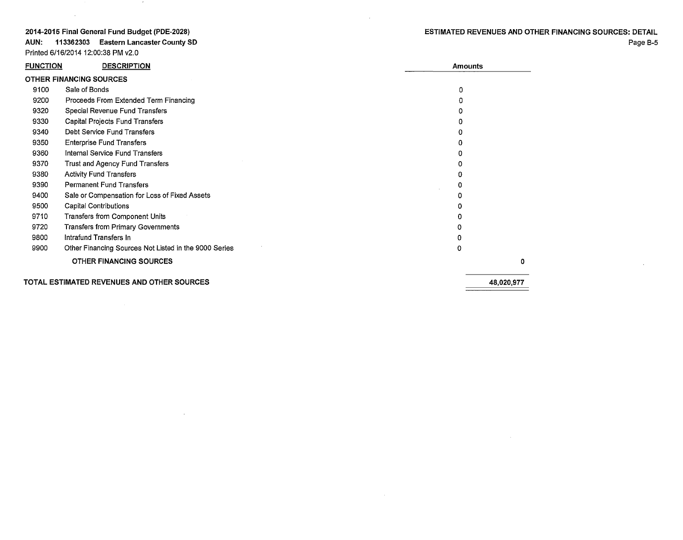### **ESTIMATED REVENUES AND OTHER FINANCING SOURCES: DETAIL**  Page B-5

#### **2014-2015 Final General Fund Budget (PDE-2028)**

 $\sim 10^7$ 

**AUN: 113362303 Eastern Lancaster County SD**  Printed 6/16/2014 12:00:38 PM v2.0

 $\sim$  10  $\sigma$ 

 $\sim 10^6$ 

| <b>FUNCTION</b> | <b>DESCRIPTION</b>                                    |   | <b>Amounts</b> |
|-----------------|-------------------------------------------------------|---|----------------|
|                 | <b>OTHER FINANCING SOURCES</b>                        |   |                |
| 9100            | Sale of Bonds                                         | 0 |                |
| 9200            | Proceeds From Extended Term Financing                 | 0 |                |
| 9320            | Special Revenue Fund Transfers                        |   |                |
| 9330            | Capital Projects Fund Transfers                       |   |                |
| 9340            | Debt Service Fund Transfers                           |   |                |
| 9350            | <b>Enterprise Fund Transfers</b>                      |   |                |
| 9360            | Internal Service Fund Transfers                       |   |                |
| 9370            | Trust and Agency Fund Transfers                       |   |                |
| 9380            | <b>Activity Fund Transfers</b>                        |   |                |
| 9390            | <b>Permanent Fund Transfers</b>                       |   |                |
| 9400            | Sale or Compensation for Loss of Fixed Assets         | Ω |                |
| 9500            | <b>Capital Contributions</b>                          |   |                |
| 9710            | Transfers from Component Units                        | o |                |
| 9720            | Transfers from Primary Governments                    | 0 |                |
| 9800            | Intrafund Transfers In                                | 0 |                |
| 9900            | Other Financing Sources Not Listed in the 9000 Series | 0 |                |
|                 | <b>OTHER FINANCING SOURCES</b>                        |   | 0              |
|                 | TOTAL ESTIMATED REVENUES AND OTHER SOURCES            |   | 48,020,977     |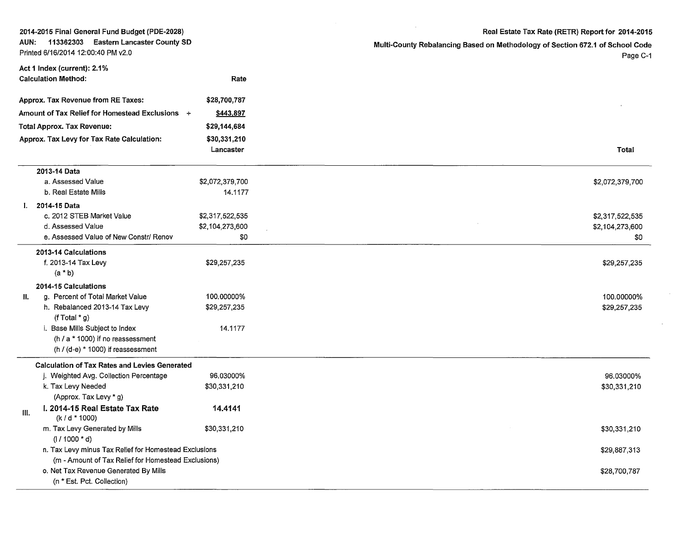| 2014-2015 Final General Fund Budget (PDE-2028)                                                |                                                                     |                 | Real Estate Tax Rate (RETR) Report for 2014-2015                              |  |  |
|-----------------------------------------------------------------------------------------------|---------------------------------------------------------------------|-----------------|-------------------------------------------------------------------------------|--|--|
| 113362303<br><b>Eastern Lancaster County SD</b><br>AUN:<br>Printed 6/16/2014 12:00:40 PM v2.0 |                                                                     |                 | Multi-County Rebalancing Based on Methodology of Section 672.1 of School Code |  |  |
|                                                                                               |                                                                     |                 | Page C-1                                                                      |  |  |
|                                                                                               | Act 1 Index (current): 2.1%                                         |                 |                                                                               |  |  |
|                                                                                               | <b>Calculation Method:</b>                                          | Rate            |                                                                               |  |  |
|                                                                                               | Approx. Tax Revenue from RE Taxes:                                  | \$28,700,787    |                                                                               |  |  |
|                                                                                               | Amount of Tax Relief for Homestead Exclusions +                     | \$443.897       |                                                                               |  |  |
|                                                                                               | <b>Total Approx. Tax Revenue:</b>                                   | \$29,144,684    |                                                                               |  |  |
|                                                                                               | Approx. Tax Levy for Tax Rate Calculation:                          | \$30,331,210    |                                                                               |  |  |
|                                                                                               |                                                                     | Lancaster       | Total                                                                         |  |  |
|                                                                                               | 2013-14 Data                                                        |                 |                                                                               |  |  |
|                                                                                               | a. Assessed Value                                                   | \$2,072,379,700 | \$2,072,379,700                                                               |  |  |
|                                                                                               | b. Real Estate Mills                                                | 14.1177         |                                                                               |  |  |
|                                                                                               | I. 2014-15 Data                                                     |                 |                                                                               |  |  |
|                                                                                               | c. 2012 STEB Market Value                                           | \$2,317,522,535 | \$2,317,522,535                                                               |  |  |
|                                                                                               | d. Assessed Value                                                   | \$2,104,273,600 | \$2,104,273,600                                                               |  |  |
|                                                                                               | e. Assessed Value of New Constr/ Renov                              | \$0             | \$0                                                                           |  |  |
|                                                                                               | 2013-14 Calculations                                                |                 |                                                                               |  |  |
|                                                                                               | f. 2013-14 Tax Levy                                                 | \$29,257,235    | \$29,257,235                                                                  |  |  |
|                                                                                               | $(a * b)$                                                           |                 |                                                                               |  |  |
|                                                                                               | 2014-15 Calculations                                                |                 |                                                                               |  |  |
| H.                                                                                            | g. Percent of Total Market Value                                    | 100.00000%      | 100.00000%                                                                    |  |  |
|                                                                                               | h. Rebalanced 2013-14 Tax Levy<br>(f Total $*$ g)                   | \$29,257,235    | \$29,257,235                                                                  |  |  |
|                                                                                               | i. Base Mills Subject to Index                                      | 14.1177         |                                                                               |  |  |
|                                                                                               | (h $/$ a $*$ 1000) if no reassessment                               |                 |                                                                               |  |  |
|                                                                                               | $(h / (d-e) * 1000)$ if reassessment                                |                 |                                                                               |  |  |
|                                                                                               | <b>Calculation of Tax Rates and Levies Generated</b>                |                 |                                                                               |  |  |
|                                                                                               | j. Weighted Avg. Collection Percentage                              | 96.03000%       | 96.03000%                                                                     |  |  |
|                                                                                               | k. Tax Levy Needed                                                  | \$30,331,210    | \$30,331,210                                                                  |  |  |
|                                                                                               | (Approx. Tax Levy * g)                                              |                 |                                                                               |  |  |
| III.                                                                                          | I. 2014-15 Real Estate Tax Rate<br>(k / d * 1000)                   | 14.4141         |                                                                               |  |  |
|                                                                                               | m. Tax Levy Generated by Mills                                      | \$30,331,210    | \$30,331,210                                                                  |  |  |
|                                                                                               | $(1/1000 * d)$                                                      |                 |                                                                               |  |  |
|                                                                                               | n. Tax Levy minus Tax Relief for Homestead Exclusions               |                 | \$29,887,313                                                                  |  |  |
|                                                                                               | (m - Amount of Tax Relief for Homestead Exclusions)                 |                 |                                                                               |  |  |
|                                                                                               | o. Net Tax Revenue Generated By Mills<br>(n * Est. Pct. Collection) |                 | \$28,700,787                                                                  |  |  |
|                                                                                               |                                                                     |                 |                                                                               |  |  |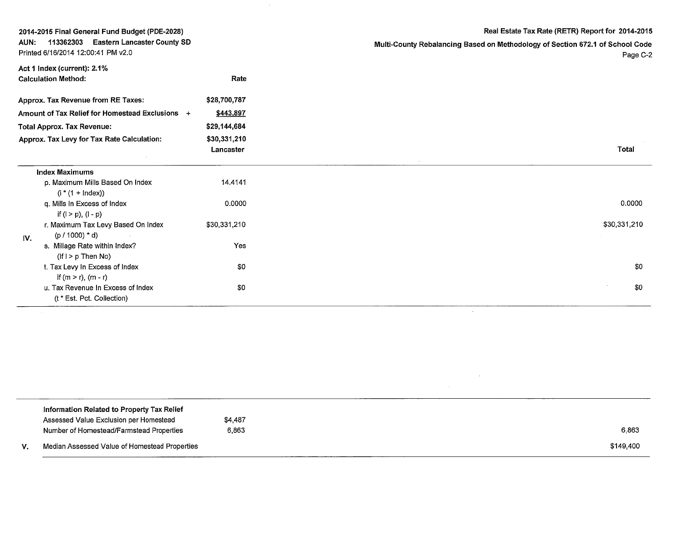| 2014-2015 Final General Fund Budget (PDE-2028) |  |  |
|------------------------------------------------|--|--|
|------------------------------------------------|--|--|

AUN: 113362303 Eastern Lancaster County SO Printed 6/16/2014 12:00:41 PM v2.0

Real Estate Tax Rate (RETR) Report for 2014-2015

Multi-County Rebalancing Based on Methodology of Section 672.1 of School Code Page C-2

 $\mathcal{A}^{\mathcal{A}}$ 

 $\mathcal{L}^{\mathcal{L}}(\mathcal{A})$  .

| Act 1 Index (current): 2.1%                                     |                           |  |
|-----------------------------------------------------------------|---------------------------|--|
| <b>Calculation Method:</b>                                      | Rate                      |  |
| Approx. Tax Revenue from RE Taxes:                              | \$28,700,787              |  |
| Amount of Tax Relief for Homestead Exclusions +                 | \$443,897                 |  |
| <b>Total Approx. Tax Revenue:</b>                               | \$29,144,684              |  |
| Approx. Tax Levy for Tax Rate Calculation:                      | \$30,331,210<br>Lancaster |  |
| <b>Index Maximums</b>                                           |                           |  |
| p. Maximum Mills Based On Index<br>$(i * (1 + Index))$          | 14.4141                   |  |
| q. Mills In Excess of Index<br>if $(l > p)$ , $(l - p)$         | 0.0000                    |  |
| r. Maximum Tax Levy Based On Index<br>$(p / 1000) * d$<br>IV.   | \$30,331,210              |  |
| s. Millage Rate within Index?<br>$(lf \mid > p$ Then No)        | Yes                       |  |
| t. Tax Levy In Excess of Index<br>if $(m > r)$ , $(m - r)$      | \$0                       |  |
| u. Tax Revenue In Excess of Index<br>(t * Est. Pct. Collection) | \$0                       |  |

|    | Information Related to Property Tax Relief    |         |           |
|----|-----------------------------------------------|---------|-----------|
|    | Assessed Value Exclusion per Homestead        | \$4.487 |           |
|    | Number of Homestead/Farmstead Properties      | 6.863   | 6,863     |
| V. | Median Assessed Value of Homestead Properties |         | \$149,400 |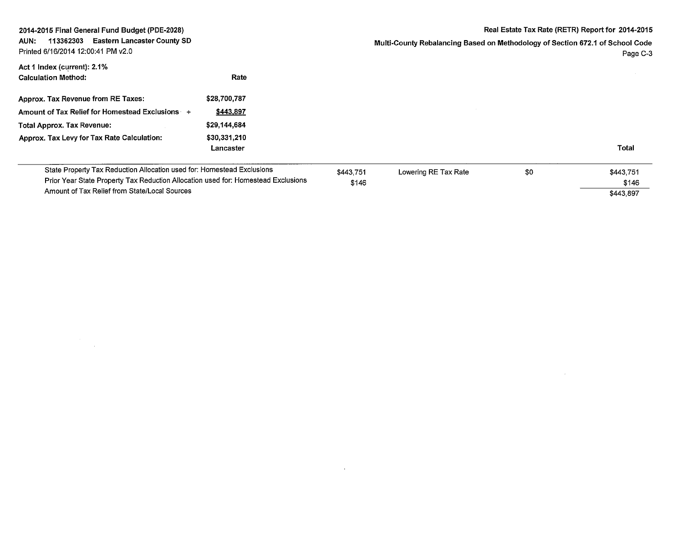| 2014-2015 Final General Fund Budget (PDE-2028)                                                                                                                                                               | Real Estate Tax Rate (RETR) Report for 2014-2015 |                                                                                           |                      |     |                                 |
|--------------------------------------------------------------------------------------------------------------------------------------------------------------------------------------------------------------|--------------------------------------------------|-------------------------------------------------------------------------------------------|----------------------|-----|---------------------------------|
| <b>Eastern Lancaster County SD</b><br>113362303<br>AUN:<br>Printed 6/16/2014 12:00:41 PM v2.0                                                                                                                |                                                  | Multi-County Rebalancing Based on Methodology of Section 672.1 of School Code<br>Page C-3 |                      |     |                                 |
| Act 1 Index (current): 2.1%<br><b>Calculation Method:</b>                                                                                                                                                    | Rate                                             |                                                                                           |                      |     |                                 |
| Approx. Tax Revenue from RE Taxes:                                                                                                                                                                           | \$28,700,787                                     |                                                                                           |                      |     |                                 |
| Amount of Tax Relief for Homestead Exclusions +                                                                                                                                                              | \$443,897                                        |                                                                                           |                      |     |                                 |
| <b>Total Approx. Tax Revenue:</b>                                                                                                                                                                            | \$29,144,684                                     |                                                                                           |                      |     |                                 |
| Approx. Tax Levy for Tax Rate Calculation:                                                                                                                                                                   | \$30,331,210<br>Lancaster                        |                                                                                           |                      |     | <b>Total</b>                    |
| State Property Tax Reduction Allocation used for: Homestead Exclusions<br>Prior Year State Property Tax Reduction Allocation used for: Homestead Exclusions<br>Amount of Tax Relief from State/Local Sources |                                                  | \$443.751<br>\$146                                                                        | Lowering RE Tax Rate | \$0 | \$443,751<br>\$146<br>\$443,897 |

 $\mathcal{L}(\mathcal{L})$  and  $\mathcal{L}(\mathcal{L})$  and  $\mathcal{L}(\mathcal{L})$ 

 $\mathcal{L}^{\text{max}}_{\text{max}}$  and  $\mathcal{L}^{\text{max}}_{\text{max}}$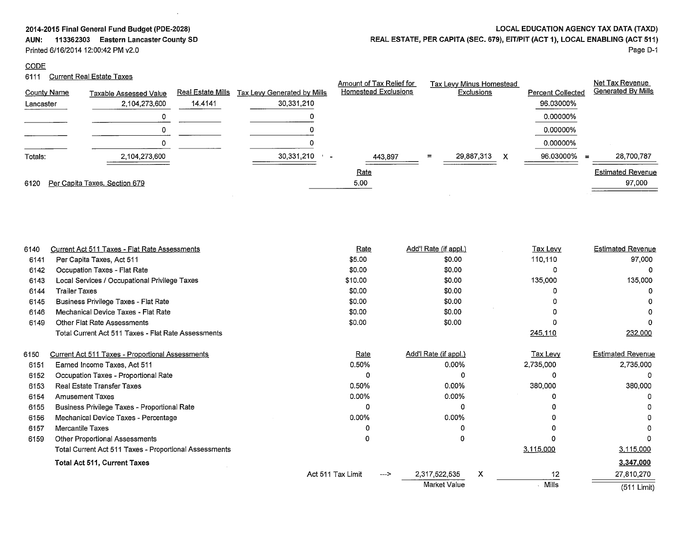**AUN: 113362303 Eastern Lancaster County SD** 

 $\bar{\Delta}$ 

Printed 6/16/2014 12:00:42 PM v2.0

## **CODE**

# 6111 Current Real Estate Taxes

| LOCAL EDUCATION AGENCY TAX DATA (TAXD) |  |
|----------------------------------------|--|
|                                        |  |

# **REAL ESTATE, PER CAPITA (SEC. 679), EIT/PIT (ACT 1), LOCAL ENABLING (ACT 511)**

Page D-1

|                    |                               |                          |                              | Amount of Tax Relief for    |     | Tax Levy Minus Homestead |                          |          | Net Tax Revenue          |
|--------------------|-------------------------------|--------------------------|------------------------------|-----------------------------|-----|--------------------------|--------------------------|----------|--------------------------|
| <b>County Name</b> | Taxable Assessed Value        | <u>Real Estate Mills</u> | Tax Levy Generated by Mills  | <b>Homestead Exclusions</b> |     | Exclusions               | <b>Percent Collected</b> |          | Generated By Mills       |
| Lancaster          | 2,104,273,600                 | 14.4141                  | 30,331,210                   |                             |     |                          | 96.03000%                |          |                          |
|                    |                               |                          |                              |                             |     |                          | 0.00000%                 |          |                          |
|                    | 0                             |                          |                              |                             |     |                          | 0.00000%                 |          |                          |
|                    |                               |                          |                              |                             |     |                          | 0.00000%                 |          |                          |
| Totals:            | 2.104.273,600                 |                          | 30,331,210<br>$\blacksquare$ | 443.897                     | $=$ | 29,887,313<br>X          | 96.03000%                | $\equiv$ | 28,700,787               |
|                    |                               |                          |                              | Rate                        |     |                          |                          |          | <b>Estimated Revenue</b> |
| 6120               | Per Capita Taxes, Section 679 |                          |                              | 5.00                        |     |                          |                          |          | 97,000                   |
|                    |                               |                          |                              |                             |     |                          |                          |          |                          |

| 6140 | Current Act 511 Taxes - Flat Rate Assessments          | Rate              |    | Add'l Rate (if appl.) |   | Tax Levy        | <b>Estimated Revenue</b> |
|------|--------------------------------------------------------|-------------------|----|-----------------------|---|-----------------|--------------------------|
| 6141 | Per Capita Taxes, Act 511                              | \$5.00            |    | \$0.00                |   | 110,110         | 97,000                   |
| 6142 | Occupation Taxes - Flat Rate                           | \$0.00            |    | \$0.00                |   |                 |                          |
| 6143 | Local Services / Occupational Privilege Taxes          | \$10.00           |    | \$0.00                |   | 135,000         | 135,000                  |
| 6144 | <b>Trailer Taxes</b>                                   | \$0.00            |    | \$0.00                |   |                 |                          |
| 6145 | Business Privilege Taxes - Flat Rate                   | \$0.00            |    | \$0.00                |   |                 |                          |
| 6146 | Mechanical Device Taxes - Flat Rate                    | \$0.00            |    | \$0.00                |   |                 |                          |
| 6149 | <b>Other Flat Rate Assessments</b>                     | \$0.00            |    | \$0.00                |   |                 |                          |
|      | Total Current Act 511 Taxes - Flat Rate Assessments    |                   |    |                       |   | 245,110         | 232,000                  |
| 6150 | Current Act 511 Taxes - Proportional Assessments       | Rate              |    | Add'l Rate (if appl.) |   | <u>Tax Levy</u> | <b>Estimated Revenue</b> |
| 6151 | Earned Income Taxes, Act 511                           | 0.50%             |    | 0.00%                 |   | 2,735,000       | 2,735,000                |
| 6152 | Occupation Taxes - Proportional Rate                   | Ω                 |    |                       |   |                 |                          |
| 6153 | <b>Real Estate Transfer Taxes</b>                      | 0.50%             |    | $0.00\%$              |   | 380,000         | 380,000                  |
| 6154 | <b>Amusement Taxes</b>                                 | $0.00\%$          |    | $0.00\%$              |   |                 |                          |
| 6155 | Business Privilege Taxes - Proportional Rate           | O                 |    | n                     |   |                 |                          |
| 6156 | Mechanical Device Taxes - Percentage                   | $0.00\%$          |    | $0.00\%$              |   |                 |                          |
| 6157 | <b>Mercantile Taxes</b>                                |                   |    |                       |   |                 |                          |
| 6159 | <b>Other Proportional Assessments</b>                  |                   |    |                       |   |                 |                          |
|      | Total Current Act 511 Taxes - Proportional Assessments |                   |    |                       |   | 3,115,000       | 3,115,000                |
|      | <b>Total Act 511, Current Taxes</b>                    |                   |    |                       |   |                 | 3,347,000                |
|      |                                                        | Act 511 Tax Limit | —> | 2,317,522,535         | X | 12              | 27,810,270               |
|      |                                                        |                   |    | <b>Market Value</b>   |   | . Mills         | (511 Limit)              |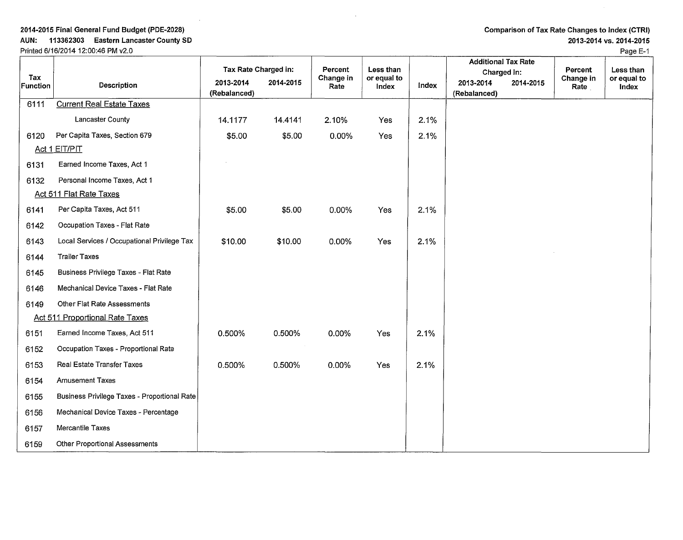AUN: 113362303 Eastern Lancaster County SO Printed 6/16/2014 12:00:46 PM v2.0

Comparison of Tax Rate Changes to Index (CTRI)

2013-2014 vs. 2014-2015

|                 |                                              |                           |           |                      |                          |       | <b>Additional Tax Rate</b> |           |                      |                          |
|-----------------|----------------------------------------------|---------------------------|-----------|----------------------|--------------------------|-------|----------------------------|-----------|----------------------|--------------------------|
| Tax             |                                              | Tax Rate Charged in:      |           | Percent<br>Change in | Less than<br>or equal to |       | Charged in:                |           | Percent<br>Change in | Less than<br>or equal to |
| <b>Function</b> | <b>Description</b>                           | 2013-2014<br>(Rebalanced) | 2014-2015 | Rate                 | Index                    | Index | 2013-2014<br>(Rebalanced)  | 2014-2015 | Rate                 | Index                    |
| 6111            | <b>Current Real Estate Taxes</b>             |                           |           |                      |                          |       |                            |           |                      |                          |
|                 | Lancaster County                             | 14.1177                   | 14.4141   | 2.10%                | Yes                      | 2.1%  |                            |           |                      |                          |
| 6120            | Per Capita Taxes, Section 679                | \$5.00                    | \$5.00    | 0.00%                | Yes                      | 2.1%  |                            |           |                      |                          |
|                 | Act 1 EIT/PIT                                |                           |           |                      |                          |       |                            |           |                      |                          |
| 6131            | Earned Income Taxes, Act 1                   |                           |           |                      |                          |       |                            |           |                      |                          |
| 6132            | Personal Income Taxes, Act 1                 |                           |           |                      |                          |       |                            |           |                      |                          |
|                 | <b>Act 511 Flat Rate Taxes</b>               |                           |           |                      |                          |       |                            |           |                      |                          |
| 6141            | Per Capita Taxes, Act 511                    | \$5.00                    | \$5.00    | 0.00%                | Yes                      | 2.1%  |                            |           |                      |                          |
| 6142            | Occupation Taxes - Flat Rate                 |                           |           |                      |                          |       |                            |           |                      |                          |
| 6143            | Local Services / Occupational Privilege Tax  | \$10.00                   | \$10.00   | 0.00%                | Yes                      | 2.1%  |                            |           |                      |                          |
| 6144            | <b>Trailer Taxes</b>                         |                           |           |                      |                          |       |                            |           |                      |                          |
| 6145            | Business Privilege Taxes - Flat Rate         |                           |           |                      |                          |       |                            |           |                      |                          |
| 6146            | Mechanical Device Taxes - Flat Rate          |                           |           |                      |                          |       |                            |           |                      |                          |
| 6149            | Other Flat Rate Assessments                  |                           |           |                      |                          |       |                            |           |                      |                          |
|                 | <b>Act 511 Proportional Rate Taxes</b>       |                           |           |                      |                          |       |                            |           |                      |                          |
| 6151            | Earned Income Taxes, Act 511                 | 0.500%                    | 0.500%    | 0.00%                | Yes                      | 2.1%  |                            |           |                      |                          |
| 6152            | Occupation Taxes - Proportional Rate         |                           |           |                      |                          |       |                            |           |                      |                          |
| 6153            | Real Estate Transfer Taxes                   | 0.500%                    | 0.500%    | 0.00%                | Yes                      | 2.1%  |                            |           |                      |                          |
| 6154            | <b>Amusement Taxes</b>                       |                           |           |                      |                          |       |                            |           |                      |                          |
| 6155            | Business Privilege Taxes - Proportional Rate |                           |           |                      |                          |       |                            |           |                      |                          |
| 6156            | Mechanical Device Taxes - Percentage         |                           |           |                      |                          |       |                            |           |                      |                          |
| 6157            | Mercantile Taxes                             |                           |           |                      |                          |       |                            |           |                      |                          |
| 6159            | <b>Other Proportional Assessments</b>        |                           |           |                      |                          |       |                            |           |                      |                          |

Page E-1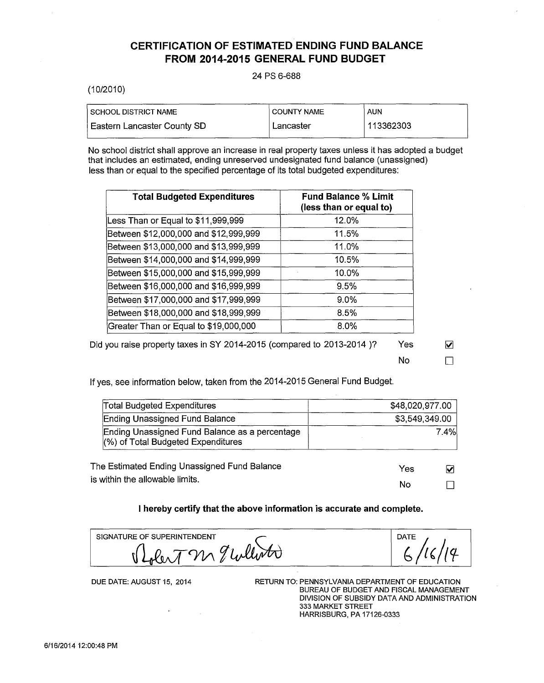# **CERTIFICATION OF ESTIMATED ENDING FUND BALANCE FROM 2014-2015 GENERAL FUND BUDGET**

#### 24 PS 6-688

#### (10/2010)

| I SCHOOL DISTRICT NAME      | I COUNTY NAME | AUN       |
|-----------------------------|---------------|-----------|
| Eastern Lancaster County SD | Lancaster     | 113362303 |

No school district shall approve an increase in real property taxes unless it has adopted a budget that includes an estimated, ending unreserved undesignated fund balance (unassigned) less than or equal to the specified percentage of its total budgeted expenditures:

| <b>Total Budgeted Expenditures</b>    | <b>Fund Balance % Limit</b><br>(less than or equal to) |
|---------------------------------------|--------------------------------------------------------|
| Less Than or Equal to \$11,999,999    | 12.0%                                                  |
| Between \$12,000,000 and \$12,999,999 | 11.5%                                                  |
| Between \$13,000,000 and \$13,999,999 | 11.0%                                                  |
| Between \$14,000,000 and \$14,999,999 | 10.5%                                                  |
| Between \$15,000,000 and \$15,999,999 | 10.0%                                                  |
| Between \$16,000,000 and \$16,999,999 | 9.5%                                                   |
| Between \$17,000,000 and \$17,999,999 | $9.0\%$                                                |
| Between \$18,000,000 and \$18,999,999 | 8.5%                                                   |
| Greater Than or Equal to \$19,000,000 | 8.0%                                                   |

Did you raise property taxes in SY 2014-2015 (compared to 2013-2014)? Yes  $\blacksquare$ 

 $\overline{N}$ o  $\overline{\Box}$ 

If yes, see information below, taken from the 2014-2015 General Fund Budget.

| <b>Total Budgeted Expenditures</b>                                                      | \$48,020,977.00 |                         |
|-----------------------------------------------------------------------------------------|-----------------|-------------------------|
| Ending Unassigned Fund Balance                                                          | \$3,549,349.00  |                         |
| Ending Unassigned Fund Balance as a percentage<br>$(\%)$ of Total Budgeted Expenditures |                 | 7.4%                    |
| The Estimated Ending Unassigned Fund Balance                                            | Yes             | $\overline{\mathsf{v}}$ |
| is within the allowable limits.                                                         |                 |                         |

**I hereby certify that the above information is accurate and complete.** 

| SIGNATURE OF SUPERINTENDENT<br>$\mu$ // $\nu$ |  |
|-----------------------------------------------|--|
|                                               |  |

 $\Box$ 

No

DUE DATE: AUGUST 15, 2014

RETURN TO: PENNSYLVANIA DEPARTMENT OF EDUCATION BUREAU OF BUDGET AND FISCAL MANAGEMENT DIVISION OF SUBSIDY DATA AND ADMINISTRATION 333 MARKET STREET HARRISBURG, PA 17126-0333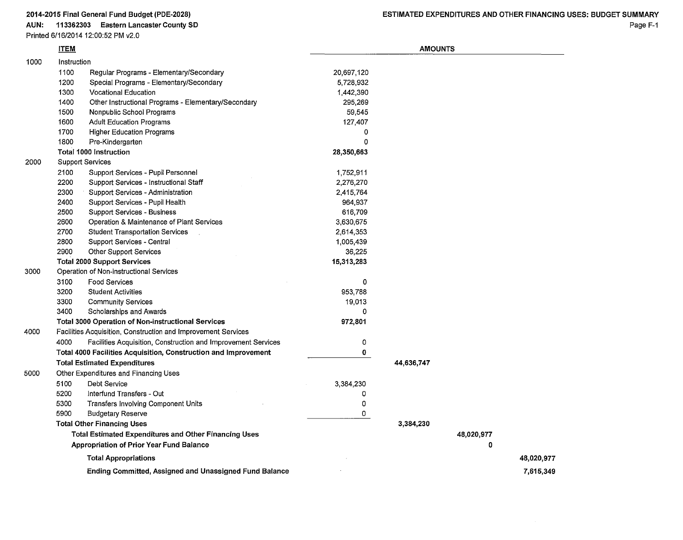AUN: 113362303 Eastern Lancaster County SD

Printed 6/16/2014 12:00:52 PM v2.0

|      | <b>ITEM</b>                       |                                                                 | <b>AMOUNTS</b> |            |            |            |  |
|------|-----------------------------------|-----------------------------------------------------------------|----------------|------------|------------|------------|--|
| 1000 | Instruction                       |                                                                 |                |            |            |            |  |
|      | 1100                              | Regular Programs - Elementary/Secondary                         | 20,697,120     |            |            |            |  |
|      | 1200                              | Special Programs - Elementary/Secondary                         | 5,728,932      |            |            |            |  |
|      | 1300                              | <b>Vocational Education</b>                                     | 1,442,390      |            |            |            |  |
|      | 1400                              | Other Instructional Programs - Elementary/Secondary             | 295,269        |            |            |            |  |
|      | 1500                              | Nonpublic School Programs                                       | 59,545         |            |            |            |  |
|      | 1600                              | <b>Adult Education Programs</b>                                 | 127,407        |            |            |            |  |
|      | 1700                              | <b>Higher Education Programs</b>                                | 0              |            |            |            |  |
|      | 1800                              | Pre-Kindergarten                                                | 0              |            |            |            |  |
|      |                                   | <b>Total 1000 Instruction</b>                                   | 28,350,663     |            |            |            |  |
| 2000 |                                   | <b>Support Services</b>                                         |                |            |            |            |  |
|      | 2100                              | Support Services - Pupil Personnel                              | 1,752,911      |            |            |            |  |
|      | 2200                              | Support Services - Instructional Staff                          | 2,276,270      |            |            |            |  |
|      | 2300                              | Support Services - Administration                               | 2,415,764      |            |            |            |  |
|      | 2400                              | Support Services - Pupil Health                                 | 964,937        |            |            |            |  |
|      | 2500                              | Support Services - Business                                     | 616,709        |            |            |            |  |
|      | 2600                              | Operation & Maintenance of Plant Services                       | 3,630,675      |            |            |            |  |
|      | 2700                              | <b>Student Transportation Services</b>                          | 2,614,353      |            |            |            |  |
|      | 2800                              | Support Services - Central                                      | 1,005,439      |            |            |            |  |
|      | 2900                              | <b>Other Support Services</b>                                   | 36,225         |            |            |            |  |
|      |                                   | <b>Total 2000 Support Services</b>                              | 15,313,283     |            |            |            |  |
| 3000 |                                   | Operation of Non-instructional Services                         |                |            |            |            |  |
|      | 3100                              | <b>Food Services</b>                                            | 0              |            |            |            |  |
|      | 3200                              | <b>Student Activities</b>                                       | 953,788        |            |            |            |  |
|      | 3300                              | <b>Community Services</b>                                       | 19,013         |            |            |            |  |
|      | 3400                              | Scholarships and Awards                                         | 0              |            |            |            |  |
|      |                                   | <b>Total 3000 Operation of Non-instructional Services</b>       | 972,801        |            |            |            |  |
| 4000 |                                   | Facilities Acquisition, Construction and Improvement Services   |                |            |            |            |  |
|      | 4000                              | Facilities Acquisition, Construction and Improvement Services   | 0              |            |            |            |  |
|      |                                   | Total 4000 Facilities Acquisition, Construction and Improvement | 0              |            |            |            |  |
|      |                                   | <b>Total Estimated Expenditures</b>                             |                | 44,636,747 |            |            |  |
| 5000 |                                   | Other Expenditures and Financing Uses                           |                |            |            |            |  |
|      | 5100                              | <b>Debt Service</b>                                             | 3,384,230      |            |            |            |  |
|      | 5200                              | Interfund Transfers - Out                                       | 0              |            |            |            |  |
|      | 5300                              | Transfers Involving Component Units                             | 0              |            |            |            |  |
|      | 5900                              | <b>Budgetary Reserve</b>                                        | 0              |            |            |            |  |
|      | <b>Total Other Financing Uses</b> |                                                                 |                | 3,384,230  |            |            |  |
|      |                                   | <b>Total Estimated Expenditures and Other Financing Uses</b>    |                |            | 48,020,977 |            |  |
|      |                                   | <b>Appropriation of Prior Year Fund Balance</b>                 |                |            | 0          |            |  |
|      |                                   | <b>Total Appropriations</b>                                     |                |            |            | 48,020,977 |  |
|      |                                   | Ending Committed, Assigned and Unassigned Fund Balance          |                |            |            | 7,615,349  |  |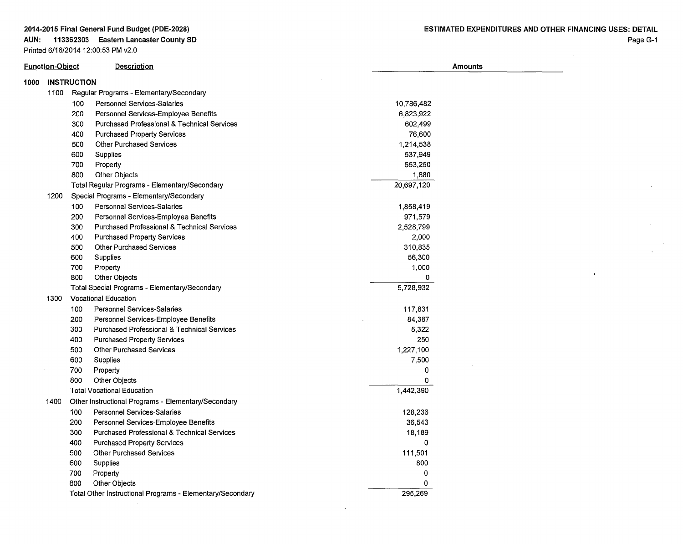# **AUN: 113362303 Eastern Lancaster County SD**

Printed 6/16/2014 12:00:53 PM v2.0

 $\sim 10^{-1}$ 

 $\ddot{\phantom{1}}$ 

 $\cdot$ 

| <b>Function-Object</b> |                    |     | Description                                               | <b>Amounts</b> |  |  |  |  |
|------------------------|--------------------|-----|-----------------------------------------------------------|----------------|--|--|--|--|
| 1000                   | <b>INSTRUCTION</b> |     |                                                           |                |  |  |  |  |
|                        | 1100               |     | Regular Programs - Elementary/Secondary                   |                |  |  |  |  |
|                        |                    | 100 | <b>Personnel Services-Salaries</b>                        | 10,786,482     |  |  |  |  |
|                        |                    | 200 | Personnel Services-Employee Benefits                      | 6,823,922      |  |  |  |  |
|                        |                    | 300 | Purchased Professional & Technical Services               | 602,499        |  |  |  |  |
|                        |                    | 400 | Purchased Property Services                               | 76,600         |  |  |  |  |
|                        |                    | 500 | <b>Other Purchased Services</b>                           | 1,214,538      |  |  |  |  |
|                        |                    | 600 | Supplies                                                  | 537,949        |  |  |  |  |
|                        |                    | 700 | Property                                                  | 653,250        |  |  |  |  |
|                        |                    | 800 | <b>Other Objects</b>                                      | 1,880          |  |  |  |  |
|                        |                    |     | Total Regular Programs - Elementary/Secondary             | 20,697,120     |  |  |  |  |
|                        | 1200               |     | Special Programs - Elementary/Secondary                   |                |  |  |  |  |
|                        |                    | 100 | <b>Personnel Services-Salaries</b>                        | 1,858,419      |  |  |  |  |
|                        |                    | 200 | Personnel Services-Employee Benefits                      | 971,579        |  |  |  |  |
|                        |                    | 300 | <b>Purchased Professional &amp; Technical Services</b>    | 2,528,799      |  |  |  |  |
|                        |                    | 400 | <b>Purchased Property Services</b>                        | 2,000          |  |  |  |  |
|                        |                    | 500 | <b>Other Purchased Services</b>                           | 310,835        |  |  |  |  |
|                        |                    | 600 | Supplies                                                  | 56,300         |  |  |  |  |
|                        |                    | 700 | Property                                                  | 1,000          |  |  |  |  |
|                        |                    | 800 | Other Objects                                             | 0              |  |  |  |  |
|                        |                    |     | Total Special Programs - Elementary/Secondary             | 5,728,932      |  |  |  |  |
|                        | 1300               |     | <b>Vocational Education</b>                               |                |  |  |  |  |
|                        |                    | 100 | <b>Personnel Services-Salaries</b>                        | 117,831        |  |  |  |  |
|                        |                    | 200 | Personnel Services-Employee Benefits                      | 84,387         |  |  |  |  |
|                        |                    | 300 | <b>Purchased Professional &amp; Technical Services</b>    | 5,322          |  |  |  |  |
|                        |                    | 400 | <b>Purchased Property Services</b>                        | 250            |  |  |  |  |
|                        |                    | 500 | <b>Other Purchased Services</b>                           | 1,227,100      |  |  |  |  |
|                        |                    | 600 | Supplies                                                  | 7,500          |  |  |  |  |
|                        |                    | 700 | Property                                                  | 0              |  |  |  |  |
|                        |                    | 800 | <b>Other Objects</b>                                      | 0              |  |  |  |  |
|                        |                    |     | <b>Total Vocational Education</b>                         | 1,442,390      |  |  |  |  |
|                        | 1400               |     | Other Instructional Programs - Elementary/Secondary       |                |  |  |  |  |
|                        |                    | 100 | <b>Personnel Services-Salaries</b>                        | 128,236        |  |  |  |  |
|                        |                    | 200 | Personnel Services-Employee Benefits                      | 36,543         |  |  |  |  |
|                        |                    | 300 | <b>Purchased Professional &amp; Technical Services</b>    | 18,189         |  |  |  |  |
|                        |                    | 400 | <b>Purchased Property Services</b>                        | $\mathbf 0$    |  |  |  |  |
|                        |                    | 500 | <b>Other Purchased Services</b>                           | 111,501        |  |  |  |  |
|                        |                    | 600 | Supplies                                                  | 800            |  |  |  |  |
|                        |                    | 700 | Property                                                  | 0              |  |  |  |  |
|                        |                    | 800 | <b>Other Objects</b>                                      | 0              |  |  |  |  |
|                        |                    |     | Total Other Instructional Programs - Elementary/Secondary | 295,269        |  |  |  |  |

 $\bar{z}$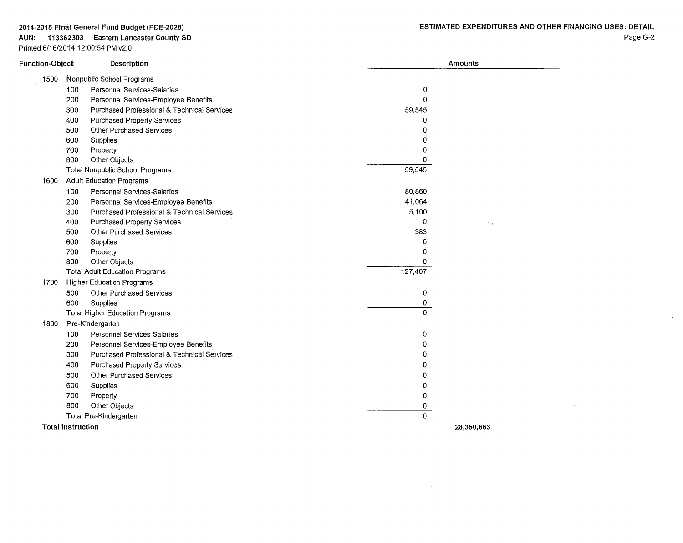#### AUN: 113362303 Eastern Lancaster County SD Printed 6/16/2014 12:00:54 PM v2.0

 $\bar{z}$ 

 $\alpha$ 

 $\sim 10^{11}$  km s  $^{-1}$ 

 $\sim 10^{-1}$ 

| Function-Object          | <b>Description</b>                          | Amounts     |
|--------------------------|---------------------------------------------|-------------|
| 1500                     | Nonpublic School Programs                   |             |
| 100                      | Personnel Services-Salaries                 | 0           |
| 200                      | Personnel Services-Employee Benefits        | $\mathbf 0$ |
| 300                      | Purchased Professional & Technical Services | 59,545      |
| 400                      | <b>Purchased Property Services</b>          | 0           |
| 500                      | Other Purchased Services                    | 0           |
| 600                      | Supplies                                    | 0           |
| 700                      | Property                                    | 0           |
| 800                      | Other Objects                               | 0           |
|                          | Total Nonpublic School Programs             | 59,545      |
| 1600                     | <b>Adult Education Programs</b>             |             |
| 100                      | Personnel Services-Salaries                 | 80,860      |
| 200                      | Personnel Services-Employee Benefits        | 41,064      |
| 300                      | Purchased Professional & Technical Services | 5,100       |
| 400                      | <b>Purchased Property Services</b>          | 0           |
| 500                      | Other Purchased Services                    | 383         |
| 600                      | Supplies                                    | $\Omega$    |
| 700                      | Property                                    | 0           |
| 800                      | Other Objects                               | $\Omega$    |
|                          | <b>Total Adult Education Programs</b>       | 127,407     |
| 1700                     | <b>Higher Education Programs</b>            |             |
| 500                      | Other Purchased Services                    | 0           |
| 600                      | Supplies                                    | 0           |
|                          | <b>Total Higher Education Programs</b>      | $\Omega$    |
| 1800                     | Pre-Kindergarten                            |             |
| 100                      | Personnel Services-Salaries                 | 0           |
| 200                      | Personnel Services-Employee Benefits        | 0           |
| 300                      | Purchased Professional & Technical Services | 0           |
| 400                      | <b>Purchased Property Services</b>          | 0           |
| 500                      | <b>Other Purchased Services</b>             | 0           |
| 600                      | Supplies                                    | 0           |
| 700                      | Property                                    | 0           |
| 800                      | Other Objects                               | 0           |
|                          | Total Pre-Kindergarten                      | 0           |
| <b>Total Instruction</b> |                                             | 28,350,663  |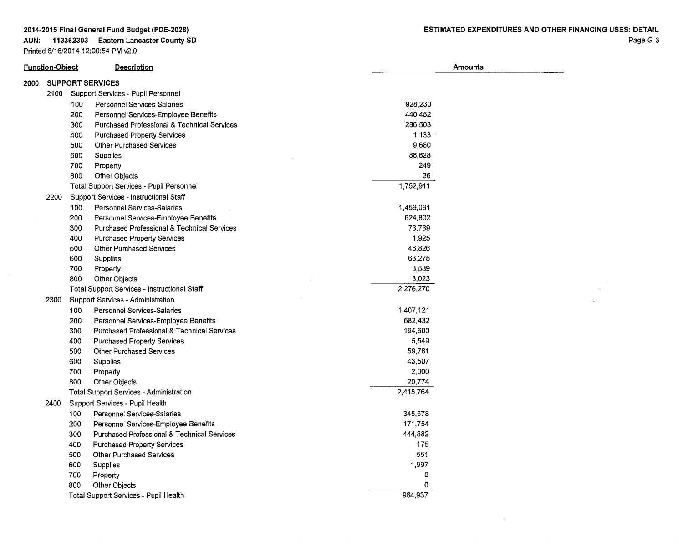#### **AUN: 113362303 Eastern Lancaster County SO**  Printed 6/16/2014 12:00:54 PM v2.0

 $\sim 10^7$ 

 $\sim 100$  km s  $^{-1}$  $\sim 10^{-11}$  $\sim$ 

| <b>Function-Object</b> |      |     | <b>Description</b>                                     | Amounts   |  |  |  |
|------------------------|------|-----|--------------------------------------------------------|-----------|--|--|--|
| 2000                   |      |     | <b>SUPPORT SERVICES</b>                                |           |  |  |  |
|                        |      |     | 2100 Support Services - Pupil Personnel                |           |  |  |  |
|                        |      | 100 | Personnel Services-Salaries                            | 928,230   |  |  |  |
|                        |      | 200 | Personnel Services-Employee Benefits                   | 440,452   |  |  |  |
|                        |      | 300 | <b>Purchased Professional &amp; Technical Services</b> | 286,503   |  |  |  |
|                        |      | 400 | <b>Purchased Property Services</b>                     | 1,133     |  |  |  |
|                        |      | 500 | <b>Other Purchased Services</b>                        | 9,680     |  |  |  |
|                        |      | 600 | Supplies                                               | 86,628    |  |  |  |
|                        |      | 700 | Property                                               | 249       |  |  |  |
|                        |      | 800 | Other Objects                                          | 36        |  |  |  |
|                        |      |     | Total Support Services - Pupil Personnel               | 1,752,911 |  |  |  |
|                        | 2200 |     | Support Services - Instructional Staff                 |           |  |  |  |
|                        |      | 100 | Personnel Services-Salaries                            | 1,459,091 |  |  |  |
|                        |      | 200 | Personnel Services-Employee Benefits                   | 624,802   |  |  |  |
|                        |      | 300 | <b>Purchased Professional &amp; Technical Services</b> | 73,739    |  |  |  |
|                        |      | 400 | <b>Purchased Property Services</b>                     | 1,925     |  |  |  |
|                        |      | 500 | <b>Other Purchased Services</b>                        | 46,826    |  |  |  |
|                        |      | 600 | Supplies                                               | 63,275    |  |  |  |
|                        |      | 700 | Property                                               | 3,589     |  |  |  |
|                        |      | 800 | Other Objects                                          | 3,023     |  |  |  |
|                        |      |     | Total Support Services - Instructional Staff           | 2,276,270 |  |  |  |
|                        | 2300 |     | <b>Support Services - Administration</b>               |           |  |  |  |
|                        |      | 100 | <b>Personnel Services-Salaries</b>                     | 1,407,121 |  |  |  |
|                        |      | 200 | Personnel Services-Employee Benefits                   | 682,432   |  |  |  |
|                        |      | 300 | <b>Purchased Professional &amp; Technical Services</b> | 194,600   |  |  |  |
|                        |      | 400 | <b>Purchased Property Services</b>                     | 5,549     |  |  |  |
|                        |      | 500 | <b>Other Purchased Services</b>                        | 59,781    |  |  |  |
|                        |      | 600 | Supplies                                               | 43,507    |  |  |  |
|                        |      | 700 | Property                                               | 2,000     |  |  |  |
|                        |      | 800 | <b>Other Objects</b>                                   | 20,774    |  |  |  |
|                        |      |     | <b>Total Support Services - Administration</b>         | 2,415,764 |  |  |  |
|                        | 2400 |     | Support Services - Pupil Health                        |           |  |  |  |
|                        |      | 100 | <b>Personnel Services-Salaries</b>                     | 345,578   |  |  |  |
|                        |      | 200 | Personnel Services-Employee Benefits                   | 171,754   |  |  |  |
|                        |      | 300 | <b>Purchased Professional &amp; Technical Services</b> | 444,882   |  |  |  |
|                        |      | 400 | <b>Purchased Property Services</b>                     | 175       |  |  |  |
|                        |      | 500 | <b>Other Purchased Services</b>                        | 551       |  |  |  |
|                        |      | 600 | Supplies                                               | 1,997     |  |  |  |
|                        |      | 700 | Property                                               | 0         |  |  |  |
|                        |      | 800 | <b>Other Objects</b>                                   | 0         |  |  |  |
|                        |      |     | Total Support Services - Pupil Health                  | 964,937   |  |  |  |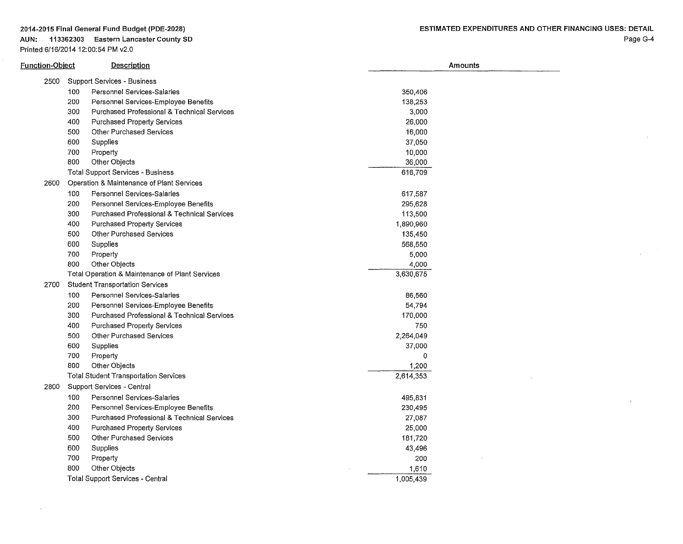**AUN: 113362303 Eastern Lancaster County SO**  Printed 6/16/2014 12:00:54 PM v2.0

| Function- <u>Object</u> | <b>Description</b>                                            | Amounts   |  |
|-------------------------|---------------------------------------------------------------|-----------|--|
| 2500                    | <b>Support Services - Business</b>                            |           |  |
|                         | 100<br>Personnel Services-Salaries                            | 350,406   |  |
|                         | 200<br>Personnel Services-Employee Benefits                   | 138,253   |  |
|                         | 300<br>Purchased Professional & Technical Services            | 3,000     |  |
|                         | 400<br><b>Purchased Property Services</b>                     | 26,000    |  |
|                         | 500<br><b>Other Purchased Services</b>                        | 16,000    |  |
|                         | 600<br>Supplies                                               | 37,050    |  |
| 700                     | Property                                                      | 10,000    |  |
|                         | 800<br>Other Objects                                          | 36,000    |  |
|                         | <b>Total Support Services - Business</b>                      | 616,709   |  |
| 2600                    | Operation & Maintenance of Plant Services                     |           |  |
|                         | 100<br>Personnel Services-Salaries                            | 617,587   |  |
|                         | 200<br>Personnel Services-Employee Benefits                   | 295,628   |  |
|                         | 300<br>Purchased Professional & Technical Services            | 113,500   |  |
|                         | 400<br><b>Purchased Property Services</b>                     | 1,890,960 |  |
|                         | 500<br>Other Purchased Services                               | 135,450   |  |
|                         | 600<br>Supplies                                               | 568,550   |  |
| 700                     | Property                                                      | 5,000     |  |
|                         | 800<br>Other Objects                                          | 4,000     |  |
|                         | Total Operation & Maintenance of Plant Services               | 3,630,675 |  |
| 2700                    | <b>Student Transportation Services</b>                        |           |  |
|                         | 100<br>Personnel Services-Salaries                            | 86,560    |  |
|                         | 200<br>Personnel Services-Employee Benefits                   | 54,794    |  |
|                         | 300<br><b>Purchased Professional &amp; Technical Services</b> | 170,000   |  |
|                         | 400<br>Purchased Property Services                            | 750       |  |
|                         | 500<br>Other Purchased Services                               | 2,264,049 |  |
|                         | 600<br>Supplies                                               | 37,000    |  |
|                         | 700<br>Property                                               | 0         |  |
|                         | 800<br>Other Objects                                          | 1,200     |  |
|                         | <b>Total Student Transportation Services</b>                  | 2,614,353 |  |
| 2800                    | Support Services - Central                                    |           |  |
|                         | 100<br>Personnel Services-Salaries                            | 495,831   |  |
|                         | 200<br>Personnel Services-Employee Benefits                   | 230,495   |  |
|                         | 300<br>Purchased Professional & Technical Services            | 27,087    |  |
| 400                     | Purchased Property Services                                   | 25,000    |  |
|                         | 500<br>Other Purchased Services                               | 181,720   |  |
|                         | 600<br>Supplies                                               | 43,496    |  |
| 700                     | Property                                                      | 200       |  |
|                         | 800<br>Other Objects                                          | 1,610     |  |
|                         | Total Support Services - Central                              | 1,005,439 |  |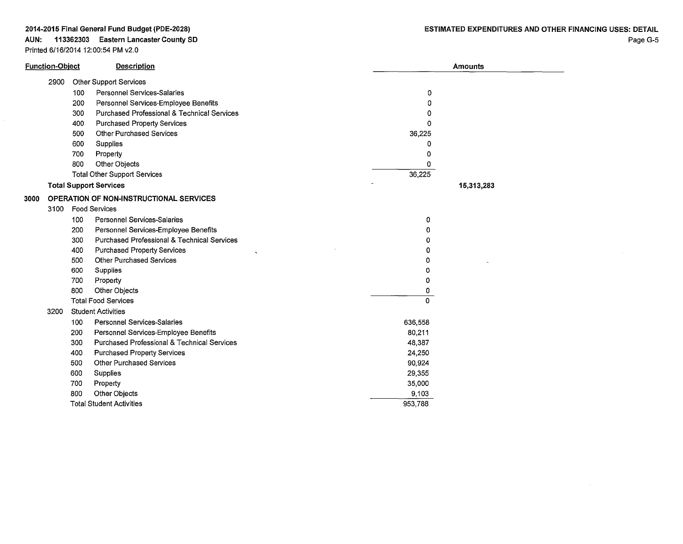# **AUN: 113362303 Eastern Lancaster County SD**

Printed 6/16/2014 12:00:54 PM v2.0

|      | <b>Function-Object</b> |     | <b>Description</b>                                         |         | <b>Amounts</b> |
|------|------------------------|-----|------------------------------------------------------------|---------|----------------|
|      | 2900                   |     | <b>Other Support Services</b>                              |         |                |
|      |                        | 100 | <b>Personnel Services-Salaries</b>                         | 0       |                |
|      |                        | 200 | Personnel Services-Employee Benefits                       | 0       |                |
|      |                        | 300 | Purchased Professional & Technical Services                | 0       |                |
|      |                        | 400 | <b>Purchased Property Services</b>                         | 0       |                |
|      |                        | 500 | <b>Other Purchased Services</b>                            | 36,225  |                |
|      |                        | 600 | Supplies                                                   | 0       |                |
|      |                        | 700 | Property                                                   | 0       |                |
|      |                        | 800 | Other Objects                                              | 0       |                |
|      |                        |     | <b>Total Other Support Services</b>                        | 36,225  |                |
|      |                        |     | <b>Total Support Services</b>                              |         | 15,313,283     |
| 3000 |                        |     | OPERATION OF NON-INSTRUCTIONAL SERVICES                    |         |                |
|      | 3100                   |     | Food Services                                              |         |                |
|      |                        | 100 | <b>Personnel Services-Salaries</b>                         | 0       |                |
|      |                        | 200 | Personnel Services-Employee Benefits                       | 0       |                |
|      |                        | 300 | Purchased Professional & Technical Services                | 0       |                |
|      |                        | 400 | <b>Purchased Property Services</b><br>$\ddot{\phantom{0}}$ | 0       |                |
|      |                        | 500 | <b>Other Purchased Services</b>                            | o       |                |
|      |                        | 600 | Supplies                                                   | ٥       |                |
|      |                        | 700 | Property                                                   | 0       |                |
|      |                        | 800 | Other Objects                                              | 0       |                |
|      |                        |     | <b>Total Food Services</b>                                 | 0       |                |
|      | 3200                   |     | <b>Student Activities</b>                                  |         |                |
|      |                        | 100 | <b>Personnel Services-Salaries</b>                         | 636,558 |                |
|      |                        | 200 | Personnel Services-Employee Benefits                       | 80,211  |                |
|      |                        | 300 | <b>Purchased Professional &amp; Technical Services</b>     | 48,387  |                |
|      |                        | 400 | <b>Purchased Property Services</b>                         | 24,250  |                |
|      |                        | 500 | <b>Other Purchased Services</b>                            | 90,924  |                |
|      |                        | 600 | Supplies                                                   | 29,355  |                |
|      |                        | 700 | Property                                                   | 35,000  |                |
|      |                        | 800 | Other Objects                                              | 9,103   |                |
|      |                        |     | <b>Total Student Activities</b>                            | 953,788 |                |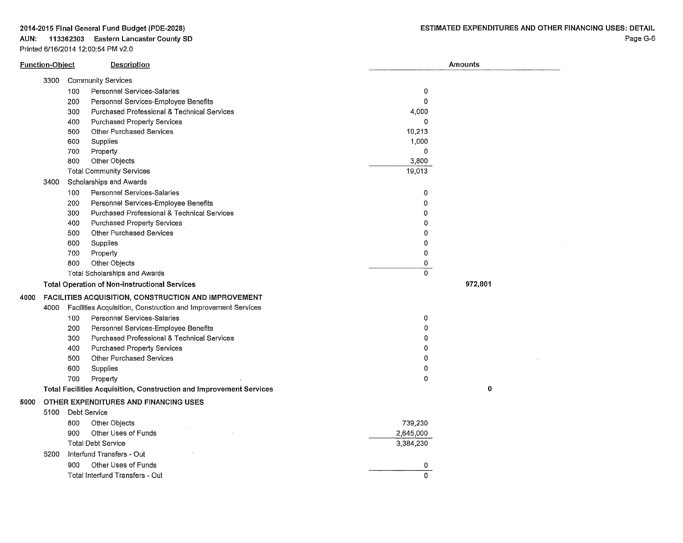# AUN: 113362303 Eastern Lancaster County SO

Printed 6/16/2014 12:00:54 PM v2.0

| <b>Community Services</b><br>3300<br>100<br>Personnel Services-Salaries<br>0<br>$\mathbf 0$<br>Personnel Services-Employee Benefits<br>200 |  |
|--------------------------------------------------------------------------------------------------------------------------------------------|--|
|                                                                                                                                            |  |
|                                                                                                                                            |  |
|                                                                                                                                            |  |
| 300<br><b>Purchased Professional &amp; Technical Services</b><br>4,000                                                                     |  |
| 400<br>Purchased Property Services<br>Ω                                                                                                    |  |
| Other Purchased Services<br>10,213<br>500                                                                                                  |  |
| 1,000<br>600<br>Supplies                                                                                                                   |  |
| 0<br>700<br>Property                                                                                                                       |  |
| Other Objects<br>3,800<br>800                                                                                                              |  |
| 19,013<br><b>Total Community Services</b>                                                                                                  |  |
| Scholarships and Awards<br>3400                                                                                                            |  |
| 100<br><b>Personnel Services-Salaries</b><br>0                                                                                             |  |
| 200<br>Personnel Services-Employee Benefits<br>0                                                                                           |  |
| 300<br>Purchased Professional & Technical Services<br>$\Omega$                                                                             |  |
| 400<br>Purchased Property Services<br>0                                                                                                    |  |
| 500<br><b>Other Purchased Services</b><br>0                                                                                                |  |
| 600<br>Supplies<br>0                                                                                                                       |  |
| $\mathbf 0$<br>700<br>Property                                                                                                             |  |
| Other Objects<br>0<br>800                                                                                                                  |  |
| $\Omega$<br>Total Scholarships and Awards                                                                                                  |  |
| 972,801<br><b>Total Operation of Non-instructional Services</b>                                                                            |  |
| FACILITIES ACQUISITION, CONSTRUCTION AND IMPROVEMENT<br>4000                                                                               |  |
| Facilities Acquisition, Construction and Improvement Services<br>4000                                                                      |  |
| Personnel Services-Salaries<br>$\overline{0}$<br>100                                                                                       |  |
| 200<br>Personnel Services-Employee Benefits<br>0                                                                                           |  |
| 300<br>Purchased Professional & Technical Services<br>$\Omega$                                                                             |  |
| <b>Purchased Property Services</b><br>400<br>$\Omega$                                                                                      |  |
| Other Purchased Services<br>500<br>0                                                                                                       |  |
| 600<br>Supplies<br>0                                                                                                                       |  |
| 700<br>Property<br>0                                                                                                                       |  |
| $\mathbf 0$<br>Total Facilities Acquisition, Construction and Improvement Services                                                         |  |
| OTHER EXPENDITURES AND FINANCING USES<br>5000                                                                                              |  |
| 5100<br>Debt Service                                                                                                                       |  |
| 739,230<br>800<br>Other Objects                                                                                                            |  |
| Other Uses of Funds<br>2,645,000<br>900                                                                                                    |  |
| <b>Total Debt Service</b><br>3,384,230                                                                                                     |  |
| Interfund Transfers - Out<br>5200                                                                                                          |  |
| 900<br>Other Uses of Funds<br>0                                                                                                            |  |
| 0<br>Total Interfund Transfers - Out                                                                                                       |  |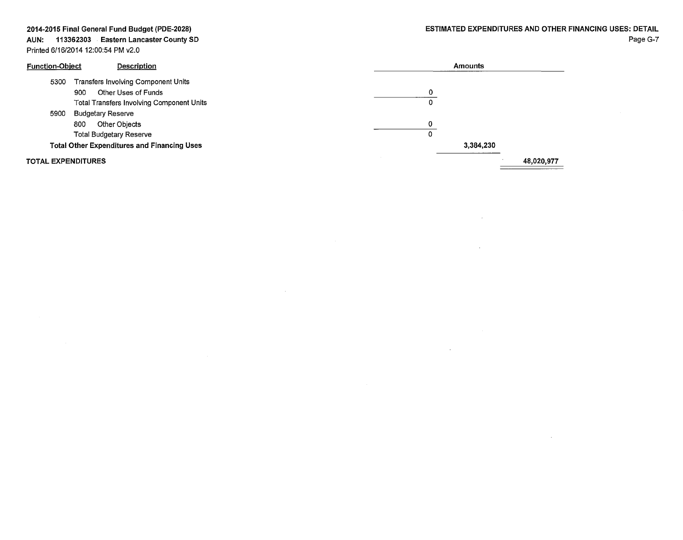#### AUN: 113362303 Eastern Lancaster County SD Printed 6/16/2014 12:00:54 PM v2.0

 $\sim$ 

 $\sim 10^{-1}$ 

 $\mathcal{L}$ 

 $\mathcal{L}$ 

| <b>Function-Object</b>    | Description                                        |   | Amounts   |            |
|---------------------------|----------------------------------------------------|---|-----------|------------|
| 5300                      | Transfers Involving Component Units                |   |           |            |
|                           | Other Uses of Funds<br>900                         | 0 |           |            |
|                           | <b>Total Transfers Involving Component Units</b>   | 0 |           |            |
| 5900                      | <b>Budgetary Reserve</b>                           |   |           |            |
|                           | Other Objects<br>800                               | 0 |           |            |
|                           | <b>Total Budgetary Reserve</b>                     | 0 |           |            |
|                           | <b>Total Other Expenditures and Financing Uses</b> |   | 3,384,230 |            |
| <b>TOTAL EXPENDITURES</b> |                                                    |   |           | 48,020,977 |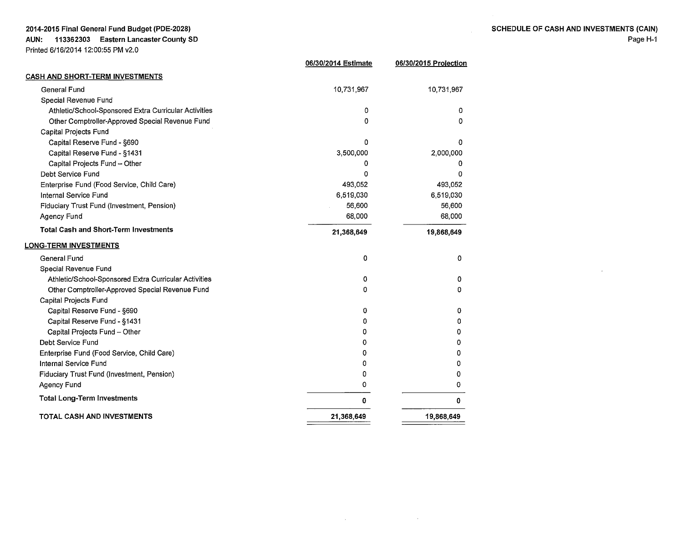| <b>SCHEDULE OF CASH AND INVESTMENTS (CAIN)</b> |
|------------------------------------------------|
| Page H-1                                       |

 $\sim$ 

| <b>CASH AND SHORT-TERM INVESTMENTS</b><br>General Fund<br>10,731,967<br>10,731,967<br>Special Revenue Fund<br>Athletic/School-Sponsored Extra Curricular Activities<br>0<br>0<br>Other Comptroller-Approved Special Revenue Fund<br>0<br>0<br>Capital Projects Fund<br>Capital Reserve Fund - §690<br>٥<br>0<br>Capital Reserve Fund - §1431<br>3,500,000<br>2,000,000<br>Capital Projects Fund - Other<br>0<br>Ω<br>Debt Service Fund<br>0<br>0<br>Enterprise Fund (Food Service, Child Care)<br>493,052<br>493,052<br>6,519,030<br>Internal Service Fund<br>6,519,030<br>Fiduciary Trust Fund (Investment, Pension)<br>56,600<br>56,600<br>Agency Fund<br>68,000<br>68,000<br><b>Total Cash and Short-Term Investments</b><br>21,368,649<br>19,868,649<br>ONG-TERM INVESTMENTS<br><b>General Fund</b><br>0<br>0<br>Special Revenue Fund<br>Athletic/School-Sponsored Extra Curricular Activities<br>0<br>0<br>Other Comptroller-Approved Special Revenue Fund<br>o<br>0<br>Capital Projects Fund<br>Capital Reserve Fund - §690<br>0<br>0<br>Capital Reserve Fund - §1431<br>0<br>٥<br>Capital Projects Fund - Other<br>0<br>Ω<br>Debt Service Fund<br>0<br>0<br>Enterprise Fund (Food Service, Child Care)<br>0<br>Internal Service Fund<br>0<br>n<br>Fiduciary Trust Fund (Investment, Pension)<br>0<br>0<br><b>Agency Fund</b><br>0<br>0<br><b>Total Long-Term Investments</b><br>0<br>0<br><b>TOTAL CASH AND INVESTMENTS</b><br>21,368,649<br>19,868,649 | 06/30/2014 Estimate | 06/30/2015 Projection |
|----------------------------------------------------------------------------------------------------------------------------------------------------------------------------------------------------------------------------------------------------------------------------------------------------------------------------------------------------------------------------------------------------------------------------------------------------------------------------------------------------------------------------------------------------------------------------------------------------------------------------------------------------------------------------------------------------------------------------------------------------------------------------------------------------------------------------------------------------------------------------------------------------------------------------------------------------------------------------------------------------------------------------------------------------------------------------------------------------------------------------------------------------------------------------------------------------------------------------------------------------------------------------------------------------------------------------------------------------------------------------------------------------------------------------------------------------------------|---------------------|-----------------------|
|                                                                                                                                                                                                                                                                                                                                                                                                                                                                                                                                                                                                                                                                                                                                                                                                                                                                                                                                                                                                                                                                                                                                                                                                                                                                                                                                                                                                                                                                |                     |                       |
|                                                                                                                                                                                                                                                                                                                                                                                                                                                                                                                                                                                                                                                                                                                                                                                                                                                                                                                                                                                                                                                                                                                                                                                                                                                                                                                                                                                                                                                                |                     |                       |
|                                                                                                                                                                                                                                                                                                                                                                                                                                                                                                                                                                                                                                                                                                                                                                                                                                                                                                                                                                                                                                                                                                                                                                                                                                                                                                                                                                                                                                                                |                     |                       |
|                                                                                                                                                                                                                                                                                                                                                                                                                                                                                                                                                                                                                                                                                                                                                                                                                                                                                                                                                                                                                                                                                                                                                                                                                                                                                                                                                                                                                                                                |                     |                       |
|                                                                                                                                                                                                                                                                                                                                                                                                                                                                                                                                                                                                                                                                                                                                                                                                                                                                                                                                                                                                                                                                                                                                                                                                                                                                                                                                                                                                                                                                |                     |                       |
|                                                                                                                                                                                                                                                                                                                                                                                                                                                                                                                                                                                                                                                                                                                                                                                                                                                                                                                                                                                                                                                                                                                                                                                                                                                                                                                                                                                                                                                                |                     |                       |
|                                                                                                                                                                                                                                                                                                                                                                                                                                                                                                                                                                                                                                                                                                                                                                                                                                                                                                                                                                                                                                                                                                                                                                                                                                                                                                                                                                                                                                                                |                     |                       |
|                                                                                                                                                                                                                                                                                                                                                                                                                                                                                                                                                                                                                                                                                                                                                                                                                                                                                                                                                                                                                                                                                                                                                                                                                                                                                                                                                                                                                                                                |                     |                       |
|                                                                                                                                                                                                                                                                                                                                                                                                                                                                                                                                                                                                                                                                                                                                                                                                                                                                                                                                                                                                                                                                                                                                                                                                                                                                                                                                                                                                                                                                |                     |                       |
|                                                                                                                                                                                                                                                                                                                                                                                                                                                                                                                                                                                                                                                                                                                                                                                                                                                                                                                                                                                                                                                                                                                                                                                                                                                                                                                                                                                                                                                                |                     |                       |
|                                                                                                                                                                                                                                                                                                                                                                                                                                                                                                                                                                                                                                                                                                                                                                                                                                                                                                                                                                                                                                                                                                                                                                                                                                                                                                                                                                                                                                                                |                     |                       |
|                                                                                                                                                                                                                                                                                                                                                                                                                                                                                                                                                                                                                                                                                                                                                                                                                                                                                                                                                                                                                                                                                                                                                                                                                                                                                                                                                                                                                                                                |                     |                       |
|                                                                                                                                                                                                                                                                                                                                                                                                                                                                                                                                                                                                                                                                                                                                                                                                                                                                                                                                                                                                                                                                                                                                                                                                                                                                                                                                                                                                                                                                |                     |                       |
|                                                                                                                                                                                                                                                                                                                                                                                                                                                                                                                                                                                                                                                                                                                                                                                                                                                                                                                                                                                                                                                                                                                                                                                                                                                                                                                                                                                                                                                                |                     |                       |
|                                                                                                                                                                                                                                                                                                                                                                                                                                                                                                                                                                                                                                                                                                                                                                                                                                                                                                                                                                                                                                                                                                                                                                                                                                                                                                                                                                                                                                                                |                     |                       |
|                                                                                                                                                                                                                                                                                                                                                                                                                                                                                                                                                                                                                                                                                                                                                                                                                                                                                                                                                                                                                                                                                                                                                                                                                                                                                                                                                                                                                                                                |                     |                       |
|                                                                                                                                                                                                                                                                                                                                                                                                                                                                                                                                                                                                                                                                                                                                                                                                                                                                                                                                                                                                                                                                                                                                                                                                                                                                                                                                                                                                                                                                |                     |                       |
|                                                                                                                                                                                                                                                                                                                                                                                                                                                                                                                                                                                                                                                                                                                                                                                                                                                                                                                                                                                                                                                                                                                                                                                                                                                                                                                                                                                                                                                                |                     |                       |
|                                                                                                                                                                                                                                                                                                                                                                                                                                                                                                                                                                                                                                                                                                                                                                                                                                                                                                                                                                                                                                                                                                                                                                                                                                                                                                                                                                                                                                                                |                     |                       |
|                                                                                                                                                                                                                                                                                                                                                                                                                                                                                                                                                                                                                                                                                                                                                                                                                                                                                                                                                                                                                                                                                                                                                                                                                                                                                                                                                                                                                                                                |                     |                       |
|                                                                                                                                                                                                                                                                                                                                                                                                                                                                                                                                                                                                                                                                                                                                                                                                                                                                                                                                                                                                                                                                                                                                                                                                                                                                                                                                                                                                                                                                |                     |                       |
|                                                                                                                                                                                                                                                                                                                                                                                                                                                                                                                                                                                                                                                                                                                                                                                                                                                                                                                                                                                                                                                                                                                                                                                                                                                                                                                                                                                                                                                                |                     |                       |
|                                                                                                                                                                                                                                                                                                                                                                                                                                                                                                                                                                                                                                                                                                                                                                                                                                                                                                                                                                                                                                                                                                                                                                                                                                                                                                                                                                                                                                                                |                     |                       |
|                                                                                                                                                                                                                                                                                                                                                                                                                                                                                                                                                                                                                                                                                                                                                                                                                                                                                                                                                                                                                                                                                                                                                                                                                                                                                                                                                                                                                                                                |                     |                       |
|                                                                                                                                                                                                                                                                                                                                                                                                                                                                                                                                                                                                                                                                                                                                                                                                                                                                                                                                                                                                                                                                                                                                                                                                                                                                                                                                                                                                                                                                |                     |                       |
|                                                                                                                                                                                                                                                                                                                                                                                                                                                                                                                                                                                                                                                                                                                                                                                                                                                                                                                                                                                                                                                                                                                                                                                                                                                                                                                                                                                                                                                                |                     |                       |
|                                                                                                                                                                                                                                                                                                                                                                                                                                                                                                                                                                                                                                                                                                                                                                                                                                                                                                                                                                                                                                                                                                                                                                                                                                                                                                                                                                                                                                                                |                     |                       |
|                                                                                                                                                                                                                                                                                                                                                                                                                                                                                                                                                                                                                                                                                                                                                                                                                                                                                                                                                                                                                                                                                                                                                                                                                                                                                                                                                                                                                                                                |                     |                       |
|                                                                                                                                                                                                                                                                                                                                                                                                                                                                                                                                                                                                                                                                                                                                                                                                                                                                                                                                                                                                                                                                                                                                                                                                                                                                                                                                                                                                                                                                |                     |                       |
|                                                                                                                                                                                                                                                                                                                                                                                                                                                                                                                                                                                                                                                                                                                                                                                                                                                                                                                                                                                                                                                                                                                                                                                                                                                                                                                                                                                                                                                                |                     |                       |
|                                                                                                                                                                                                                                                                                                                                                                                                                                                                                                                                                                                                                                                                                                                                                                                                                                                                                                                                                                                                                                                                                                                                                                                                                                                                                                                                                                                                                                                                |                     |                       |

 $\mathcal{O}(\log n)$  , and  $\mathcal{O}(\log n)$  , and  $\mathcal{O}(\log n)$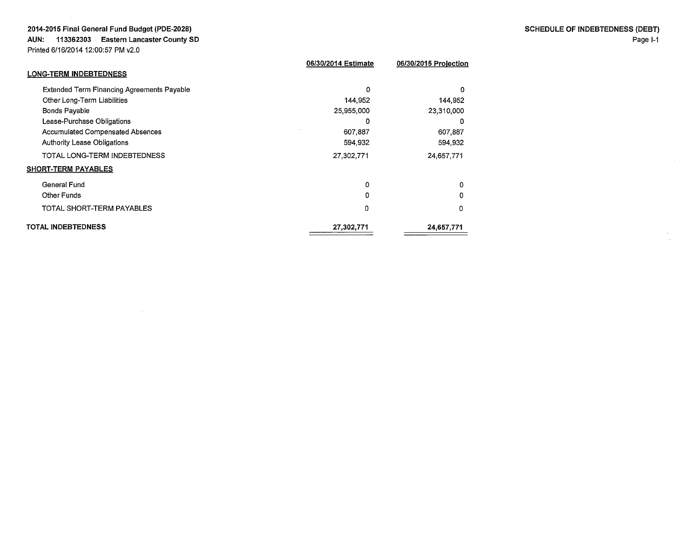AUN: 113362303 Eastern Lancaster County SO

Printed 6/16/2014 12:00:5

SHORT-TERM PAYABLES General Fund Other Funds

TOTAL INDEBTEDNESS

TOTAL SHORT-TERM PAYABLES

| Printed 6/16/2014 12:00:57 PM v2.0                |                     |                       |  |
|---------------------------------------------------|---------------------|-----------------------|--|
| <b>LONG-TERM INDEBTEDNESS</b>                     | 06/30/2014 Estimate | 06/30/2015 Projection |  |
|                                                   |                     |                       |  |
| <b>Extended Term Financing Agreements Payable</b> | 0                   | 0                     |  |
| Other Long-Term Liabilities                       | 144,952             | 144.952               |  |
| <b>Bonds Payable</b>                              | 25,955,000          | 23,310,000            |  |
| Lease-Purchase Obligations                        | 0                   | 0                     |  |
| <b>Accumulated Compensated Absences</b>           | 607,887             | 607,887               |  |
| <b>Authority Lease Obligations</b>                | 594,932             | 594.932               |  |
| TOTAL LONG-TERM INDEBTEDNESS                      | 27.302.771          | 24,657,771            |  |

0 0 0

0 0 0

24,657,771

27,302,771